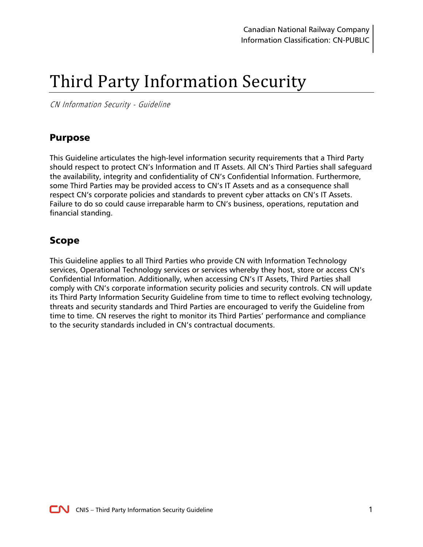# Third Party Information Security

CN Information Security - Guideline

## <span id="page-0-0"></span>Purpose

This Guideline articulates the high-level information security requirements that a Third Party should respect to protect CN's Information and IT Assets. All CN's Third Parties shall safeguard the availability, integrity and confidentiality of CN's Confidential Information. Furthermore, some Third Parties may be provided access to CN's IT Assets and as a consequence shall respect CN's corporate policies and standards to prevent cyber attacks on CN's IT Assets. Failure to do so could cause irreparable harm to CN's business, operations, reputation and financial standing.

#### <span id="page-0-1"></span>Scope

This Guideline applies to all Third Parties who provide CN with Information Technology services, Operational Technology services or services whereby they host, store or access CN's Confidential Information. Additionally, when accessing CN's IT Assets, Third Parties shall comply with CN's corporate information security policies and security controls. CN will update its Third Party Information Security Guideline from time to time to reflect evolving technology, threats and security standards and Third Parties are encouraged to verify the Guideline from time to time. CN reserves the right to monitor its Third Parties' performance and compliance to the security standards included in CN's contractual documents.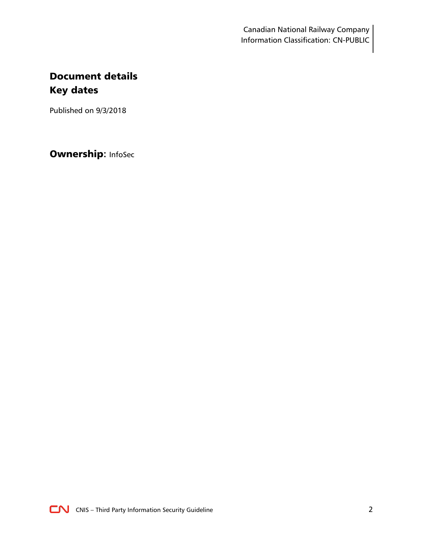Canadian National Railway Company Information Classification: CN-PUBLIC

# <span id="page-1-1"></span><span id="page-1-0"></span>Document details Key dates

Published on 9/3/2018

Ownership**:** InfoSec

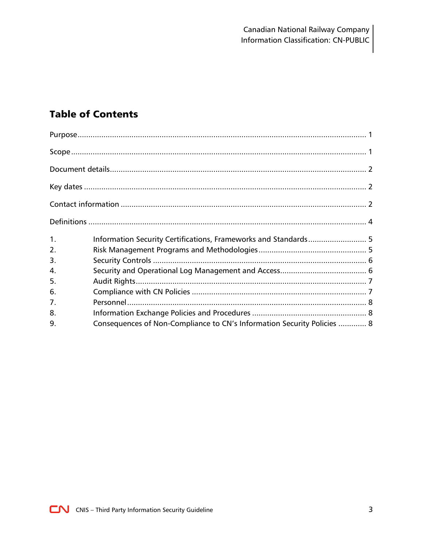# **Table of Contents**

| 1 <sub>1</sub> | Information Security Certifications, Frameworks and Standards 5         |  |
|----------------|-------------------------------------------------------------------------|--|
| 2.             |                                                                         |  |
| 3.             |                                                                         |  |
| 4.             |                                                                         |  |
| 5.             |                                                                         |  |
| 6.             |                                                                         |  |
| 7.             |                                                                         |  |
| 8.             |                                                                         |  |
| 9.             | Consequences of Non-Compliance to CN's Information Security Policies  8 |  |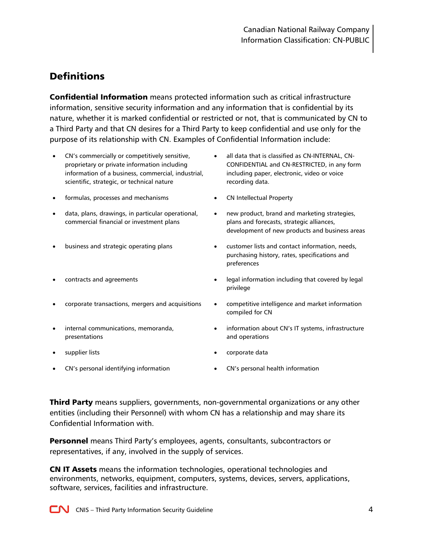# <span id="page-3-0"></span>**Definitions**

Confidential Information means protected information such as critical infrastructure information, sensitive security information and any information that is confidential by its nature, whether it is marked confidential or restricted or not, that is communicated by CN to a Third Party and that CN desires for a Third Party to keep confidential and use only for the purpose of its relationship with CN. Examples of Confidential Information include:

- CN's commercially or competitively sensitive, proprietary or private information including information of a business, commercial, industrial, scientific, strategic, or technical nature
- formulas, processes and mechanisms CN Intellectual Property
- data, plans, drawings, in particular operational, commercial financial or investment plans
- 
- 
- 
- internal communications, memoranda, presentations
- 
- CN's personal identifying information CN's personal health information
- all data that is classified as CN-INTERNAL, CN-CONFIDENTIAL and CN-RESTRICTED, in any form including paper, electronic, video or voice recording data.
- 
- new product, brand and marketing strategies, plans and forecasts, strategic alliances, development of new products and business areas
- business and strategic operating plans **business and strategic operation** peeds, purchasing history, rates, specifications and preferences
- contracts and agreements **interpretent contracts** and agreements **interpretent of the set of the legal information including that covered by legal** privilege
	- corporate transactions, mergers and acquisitions competitive intelligence and market information compiled for CN
		- information about CN's IT systems, infrastructure and operations
- supplier lists and the component of the corporate data
	-

Third Party means suppliers, governments, non-governmental organizations or any other entities (including their Personnel) with whom CN has a relationship and may share its Confidential Information with.

**Personnel** means Third Party's employees, agents, consultants, subcontractors or representatives, if any, involved in the supply of services.

CN IT Assets means the information technologies, operational technologies and environments, networks, equipment, computers, systems, devices, servers, applications, software, services, facilities and infrastructure.

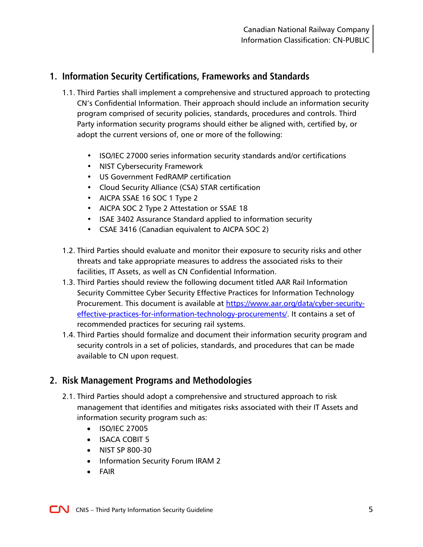## <span id="page-4-0"></span>**1. Information Security Certifications, Frameworks and Standards**

- 1.1. Third Parties shall implement a comprehensive and structured approach to protecting CN's Confidential Information. Their approach should include an information security program comprised of security policies, standards, procedures and controls. Third Party information security programs should either be aligned with, certified by, or adopt the current versions of, one or more of the following:
	- ISO/IEC 27000 series information security standards and/or certifications
	- NIST Cybersecurity Framework
	- US Government FedRAMP certification
	- Cloud Security Alliance (CSA) STAR certification
	- AICPA SSAE 16 SOC 1 Type 2
	- AICPA SOC 2 Type 2 Attestation or SSAE 18
	- ISAE 3402 Assurance Standard applied to information security
	- CSAE 3416 (Canadian equivalent to AICPA SOC 2)
- 1.2. Third Parties should evaluate and monitor their exposure to security risks and other threats and take appropriate measures to address the associated risks to their facilities, IT Assets, as well as CN Confidential Information.
- 1.3. Third Parties should review the following document titled AAR Rail Information Security Committee Cyber Security Effective Practices for Information Technology Procurement. This document is available at [https://www.aar.org/data/cyber-security](https://www.aar.org/data/cyber-security-effective-practices-for-information-technology-procurements/)[effective-practices-for-information-technology-procurements/.](https://www.aar.org/data/cyber-security-effective-practices-for-information-technology-procurements/) It contains a set of recommended practices for securing rail systems.
- 1.4. Third Parties should formalize and document their information security program and security controls in a set of policies, standards, and procedures that can be made available to CN upon request.

#### <span id="page-4-1"></span>**2. Risk Management Programs and Methodologies**

- 2.1. Third Parties should adopt a comprehensive and structured approach to risk management that identifies and mitigates risks associated with their IT Assets and information security program such as:
	- ISO/IEC 27005
	- ISACA COBIT 5
	- NIST SP 800-30
	- Information Security Forum IRAM 2
	- FAIR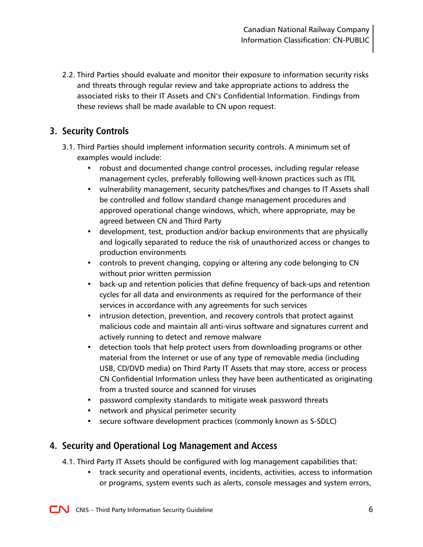2.2. Third Parties should evaluate and monitor their exposure to information security risks and threats through regular review and take appropriate actions to address the associated risks to their IT Assets and CN's Confidential Information. Findings from these reviews shall be made available to CN upon request.

# <span id="page-5-0"></span>**3. Security Controls**

- 3.1. Third Parties should implement information security controls. A minimum set of examples would include:
	- robust and documented change control processes, including regular release management cycles, preferably following well-known practices such as ITIL
	- vulnerability management, security patches/fixes and changes to IT Assets shall be controlled and follow standard change management procedures and approved operational change windows, which, where appropriate, may be agreed between CN and Third Party
	- development, test, production and/or backup environments that are physically and logically separated to reduce the risk of unauthorized access or changes to production environments
	- controls to prevent changing, copying or altering any code belonging to CN without prior written permission
	- back-up and retention policies that define frequency of back-ups and retention cycles for all data and environments as required for the performance of their services in accordance with any agreements for such services
	- intrusion detection, prevention, and recovery controls that protect against malicious code and maintain all anti-virus software and signatures current and actively running to detect and remove malware
	- detection tools that help protect users from downloading programs or other material from the Internet or use of any type of removable media (including USB, CD/DVD media) on Third Party IT Assets that may store, access or process CN Confidential Information unless they have been authenticated as originating from a trusted source and scanned for viruses
	- password complexity standards to mitigate weak password threats
	- network and physical perimeter security
	- secure software development practices (commonly known as S-SDLC)

#### <span id="page-5-1"></span>**4. Security and Operational Log Management and Access**

- 4.1. Third Party IT Assets should be configured with log management capabilities that:
	- track security and operational events, incidents, activities, access to information or programs, system events such as alerts, console messages and system errors,

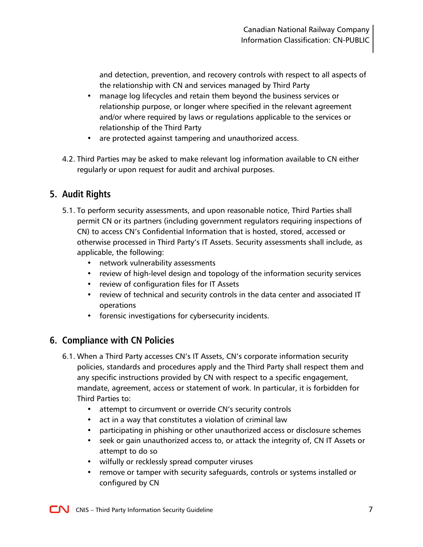and detection, prevention, and recovery controls with respect to all aspects of the relationship with CN and services managed by Third Party

- manage log lifecycles and retain them beyond the business services or relationship purpose, or longer where specified in the relevant agreement and/or where required by laws or regulations applicable to the services or relationship of the Third Party
- are protected against tampering and unauthorized access.
- 4.2. Third Parties may be asked to make relevant log information available to CN either regularly or upon request for audit and archival purposes.

# <span id="page-6-0"></span>**5. Audit Rights**

- 5.1. To perform security assessments, and upon reasonable notice, Third Parties shall permit CN or its partners (including government regulators requiring inspections of CN) to access CN's Confidential Information that is hosted, stored, accessed or otherwise processed in Third Party's IT Assets. Security assessments shall include, as applicable, the following:
	- network vulnerability assessments
	- review of high-level design and topology of the information security services
	- review of configuration files for IT Assets
	- review of technical and security controls in the data center and associated IT operations
	- forensic investigations for cybersecurity incidents.

#### <span id="page-6-1"></span>**6. Compliance with CN Policies**

- 6.1. When a Third Party accesses CN's IT Assets, CN's corporate information security policies, standards and procedures apply and the Third Party shall respect them and any specific instructions provided by CN with respect to a specific engagement, mandate, agreement, access or statement of work. In particular, it is forbidden for Third Parties to:
	- attempt to circumvent or override CN's security controls
	- act in a way that constitutes a violation of criminal law
	- participating in phishing or other unauthorized access or disclosure schemes
	- seek or gain unauthorized access to, or attack the integrity of, CN IT Assets or attempt to do so
	- wilfully or recklessly spread computer viruses
	- remove or tamper with security safeguards, controls or systems installed or configured by CN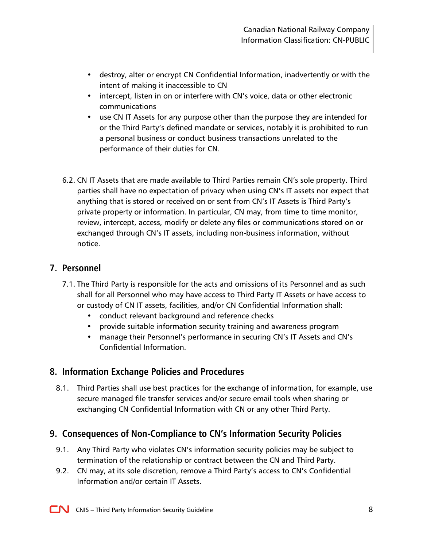- destroy, alter or encrypt CN Confidential Information, inadvertently or with the intent of making it inaccessible to CN
- intercept, listen in on or interfere with CN's voice, data or other electronic communications
- use CN IT Assets for any purpose other than the purpose they are intended for or the Third Party's defined mandate or services, notably it is prohibited to run a personal business or conduct business transactions unrelated to the performance of their duties for CN.
- 6.2. CN IT Assets that are made available to Third Parties remain CN's sole property. Third parties shall have no expectation of privacy when using CN's IT assets nor expect that anything that is stored or received on or sent from CN's IT Assets is Third Party's private property or information. In particular, CN may, from time to time monitor, review, intercept, access, modify or delete any files or communications stored on or exchanged through CN's IT assets, including non-business information, without notice.

#### <span id="page-7-0"></span>**7. Personnel**

- 7.1. The Third Party is responsible for the acts and omissions of its Personnel and as such shall for all Personnel who may have access to Third Party IT Assets or have access to or custody of CN IT assets, facilities, and/or CN Confidential Information shall:
	- conduct relevant background and reference checks
	- provide suitable information security training and awareness program
	- manage their Personnel's performance in securing CN's IT Assets and CN's Confidential Information.

# <span id="page-7-1"></span>**8. Information Exchange Policies and Procedures**

8.1. Third Parties shall use best practices for the exchange of information, for example, use secure managed file transfer services and/or secure email tools when sharing or exchanging CN Confidential Information with CN or any other Third Party.

#### <span id="page-7-2"></span>**9. Consequences of Non-Compliance to CN's Information Security Policies**

- 9.1. Any Third Party who violates CN's information security policies may be subject to termination of the relationship or contract between the CN and Third Party.
- 9.2. CN may, at its sole discretion, remove a Third Party's access to CN's Confidential Information and/or certain IT Assets.